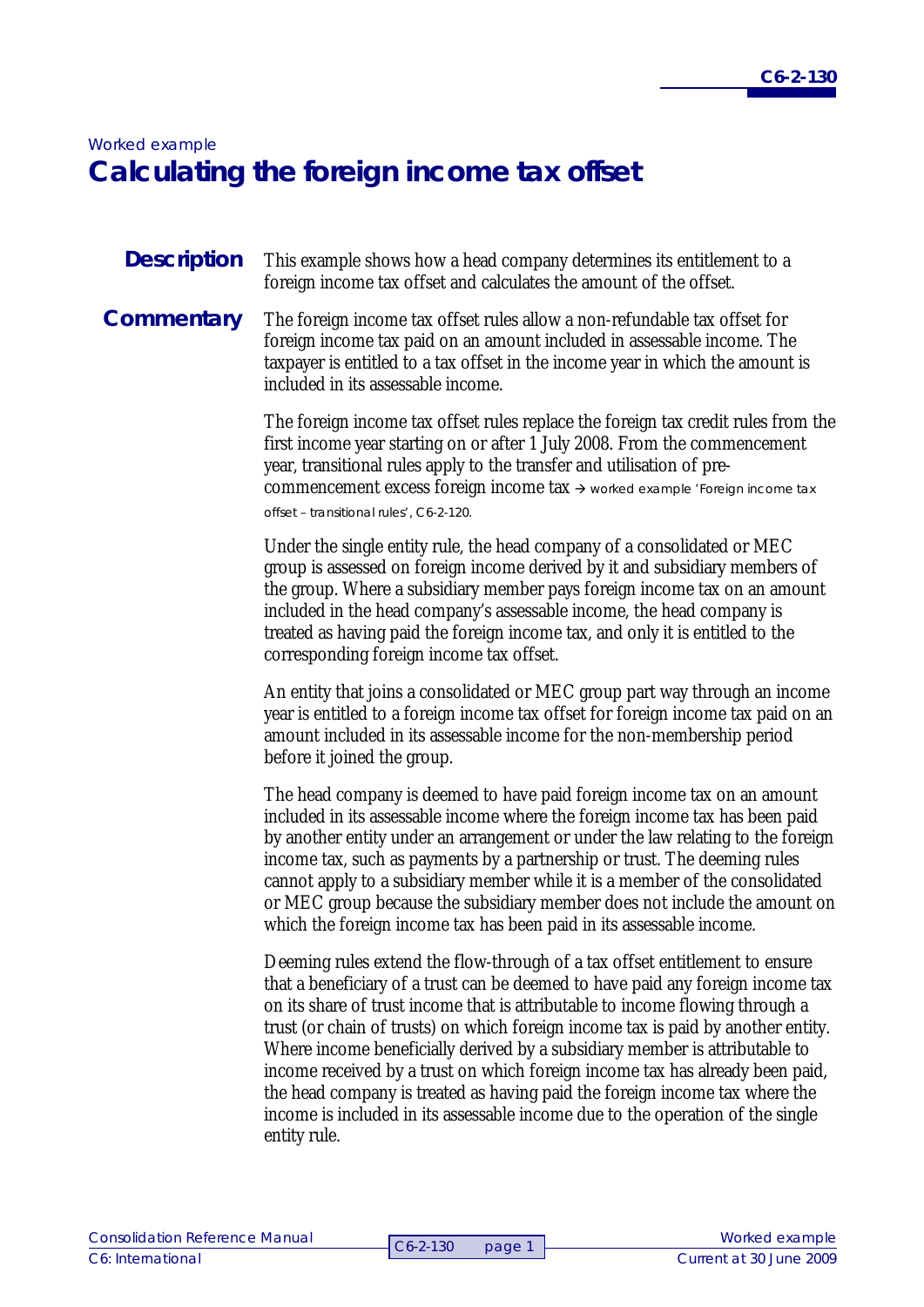# *Worked example*  **Calculating the foreign income tax offset**

#### This example shows how a head company determines its entitlement to a foreign income tax offset and calculates the amount of the offset. **Description**

# **Commentary**

The foreign income tax offset rules allow a non-refundable tax offset for foreign income tax paid on an amount included in assessable income. The taxpayer is entitled to a tax offset in the income year in which the amount is included in its assessable income.

The foreign income tax offset rules replace the foreign tax credit rules from the first income year starting on or after 1 July 2008. From the commencement year, transitional rules apply to the transfer and utilisation of precommencement excess foreign income tax  $\rightarrow$  worked example 'Foreign income tax

offset – transitional rules', C6-2-120.

Under the single entity rule, the head company of a consolidated or MEC group is assessed on foreign income derived by it and subsidiary members of the group. Where a subsidiary member pays foreign income tax on an amount included in the head company's assessable income, the head company is treated as having paid the foreign income tax, and only it is entitled to the corresponding foreign income tax offset.

An entity that joins a consolidated or MEC group part way through an income year is entitled to a foreign income tax offset for foreign income tax paid on an amount included in its assessable income for the non-membership period before it joined the group.

The head company is deemed to have paid foreign income tax on an amount included in its assessable income where the foreign income tax has been paid by another entity under an arrangement or under the law relating to the foreign income tax, such as payments by a partnership or trust. The deeming rules cannot apply to a subsidiary member while it is a member of the consolidated or MEC group because the subsidiary member does not include the amount on which the foreign income tax has been paid in its assessable income.

Deeming rules extend the flow-through of a tax offset entitlement to ensure that a beneficiary of a trust can be deemed to have paid any foreign income tax on its share of trust income that is attributable to income flowing through a trust (or chain of trusts) on which foreign income tax is paid by another entity. Where income beneficially derived by a subsidiary member is attributable to income received by a trust on which foreign income tax has already been paid, the head company is treated as having paid the foreign income tax where the income is included in its assessable income due to the operation of the single entity rule.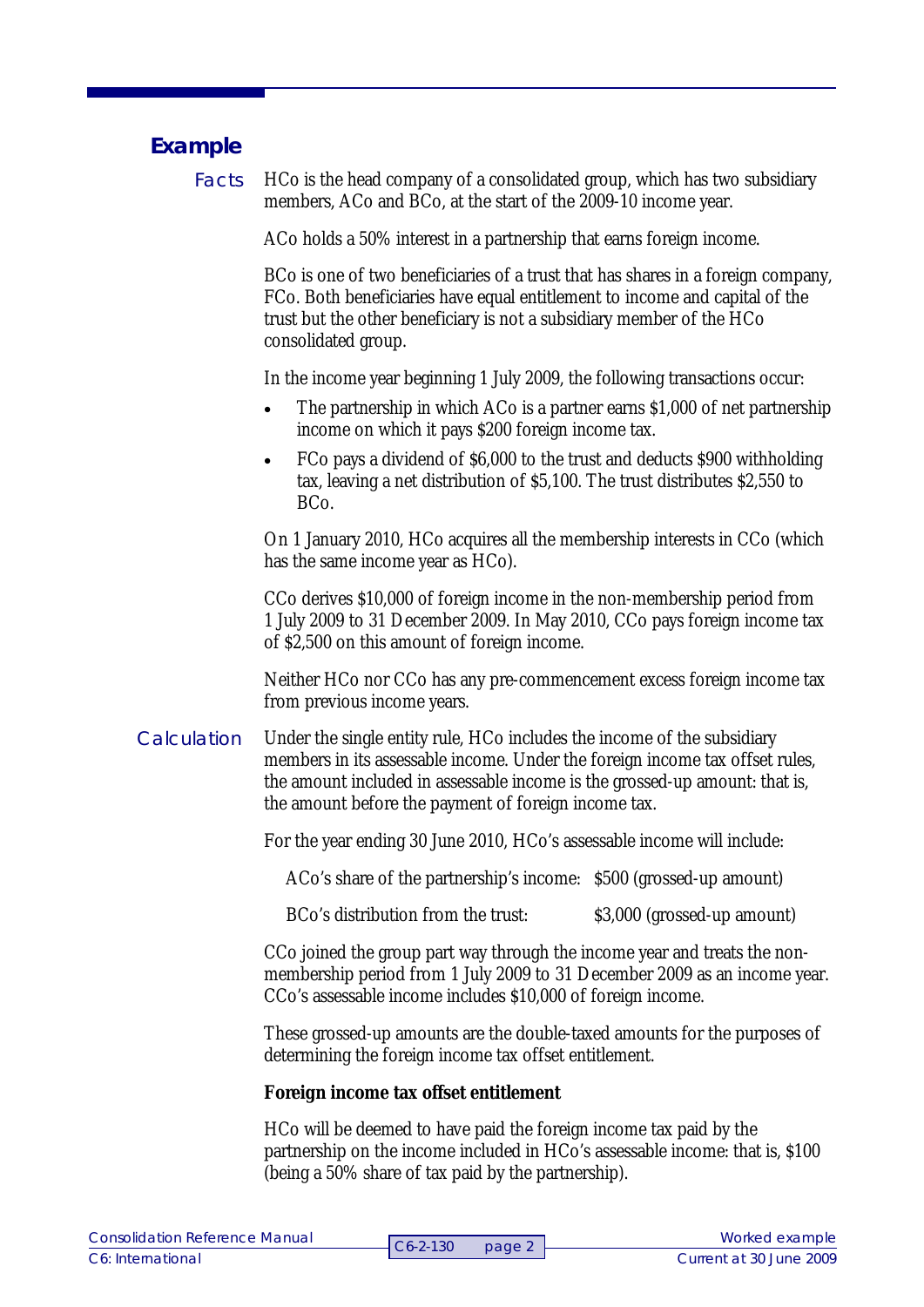## **Example**

HCo is the head company of a consolidated group, which has two subsidiary members, ACo and BCo, at the start of the 2009-10 income year. Facts

ACo holds a 50% interest in a partnership that earns foreign income.

BCo is one of two beneficiaries of a trust that has shares in a foreign company, FCo. Both beneficiaries have equal entitlement to income and capital of the trust but the other beneficiary is not a subsidiary member of the HCo consolidated group.

In the income year beginning 1 July 2009, the following transactions occur:

- The partnership in which ACo is a partner earns \$1,000 of net partnership income on which it pays \$200 foreign income tax.
- FCo pays a dividend of \$6,000 to the trust and deducts \$900 withholding tax, leaving a net distribution of \$5,100. The trust distributes \$2,550 to BCo.

On 1 January 2010, HCo acquires all the membership interests in CCo (which has the same income year as HCo).

CCo derives \$10,000 of foreign income in the non-membership period from 1 July 2009 to 31 December 2009. In May 2010, CCo pays foreign income tax of \$2,500 on this amount of foreign income.

Neither HCo nor CCo has any pre-commencement excess foreign income tax from previous income years.

Under the single entity rule, HCo includes the income of the subsidiary members in its assessable income. Under the foreign income tax offset rules, the amount included in assessable income is the grossed-up amount: that is, the amount before the payment of foreign income tax. **Calculation** 

For the year ending 30 June 2010, HCo's assessable income will include:

ACo's share of the partnership's income: \$500 (grossed-up amount)

BCo's distribution from the trust: \$3,000 (grossed-up amount)

CCo joined the group part way through the income year and treats the nonmembership period from 1 July 2009 to 31 December 2009 as an income year. CCo's assessable income includes \$10,000 of foreign income.

These grossed-up amounts are the double-taxed amounts for the purposes of determining the foreign income tax offset entitlement.

### **Foreign income tax offset entitlement**

HCo will be deemed to have paid the foreign income tax paid by the partnership on the income included in HCo's assessable income: that is, \$100 (being a 50% share of tax paid by the partnership).